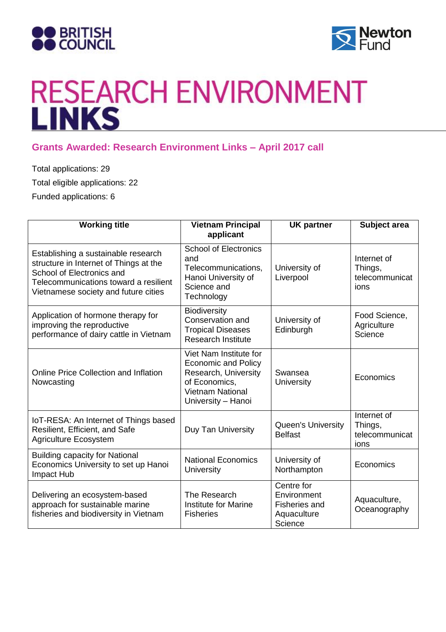



## RESEARCH ENVIRONMENT

## **Grants Awarded: Research Environment Links – April 2017 call**

Total applications: 29 Total eligible applications: 22 Funded applications: 6

| <b>Working title</b>                                                                                                                                                                        | <b>Vietnam Principal</b><br>applicant                                                                                                          | <b>UK partner</b>                                                           | Subject area                                     |
|---------------------------------------------------------------------------------------------------------------------------------------------------------------------------------------------|------------------------------------------------------------------------------------------------------------------------------------------------|-----------------------------------------------------------------------------|--------------------------------------------------|
| Establishing a sustainable research<br>structure in Internet of Things at the<br>School of Electronics and<br>Telecommunications toward a resilient<br>Vietnamese society and future cities | <b>School of Electronics</b><br>and<br>Telecommunications,<br>Hanoi University of<br>Science and<br>Technology                                 | University of<br>Liverpool                                                  | Internet of<br>Things,<br>telecommunicat<br>ions |
| Application of hormone therapy for<br>improving the reproductive<br>performance of dairy cattle in Vietnam                                                                                  | <b>Biodiversity</b><br>Conservation and<br><b>Tropical Diseases</b><br><b>Research Institute</b>                                               | University of<br>Edinburgh                                                  | Food Science,<br>Agriculture<br>Science          |
| <b>Online Price Collection and Inflation</b><br>Nowcasting                                                                                                                                  | Viet Nam Institute for<br><b>Economic and Policy</b><br>Research, University<br>of Economics,<br><b>Vietnam National</b><br>University - Hanoi | Swansea<br><b>University</b>                                                | Economics                                        |
| IoT-RESA: An Internet of Things based<br>Resilient, Efficient, and Safe<br><b>Agriculture Ecosystem</b>                                                                                     | Duy Tan University                                                                                                                             | Queen's University<br><b>Belfast</b>                                        | Internet of<br>Things,<br>telecommunicat<br>ions |
| <b>Building capacity for National</b><br>Economics University to set up Hanoi<br>Impact Hub                                                                                                 | <b>National Economics</b><br>University                                                                                                        | University of<br>Northampton                                                | Economics                                        |
| Delivering an ecosystem-based<br>approach for sustainable marine<br>fisheries and biodiversity in Vietnam                                                                                   | The Research<br>Institute for Marine<br><b>Fisheries</b>                                                                                       | Centre for<br>Environment<br><b>Fisheries and</b><br>Aquaculture<br>Science | Aquaculture,<br>Oceanography                     |